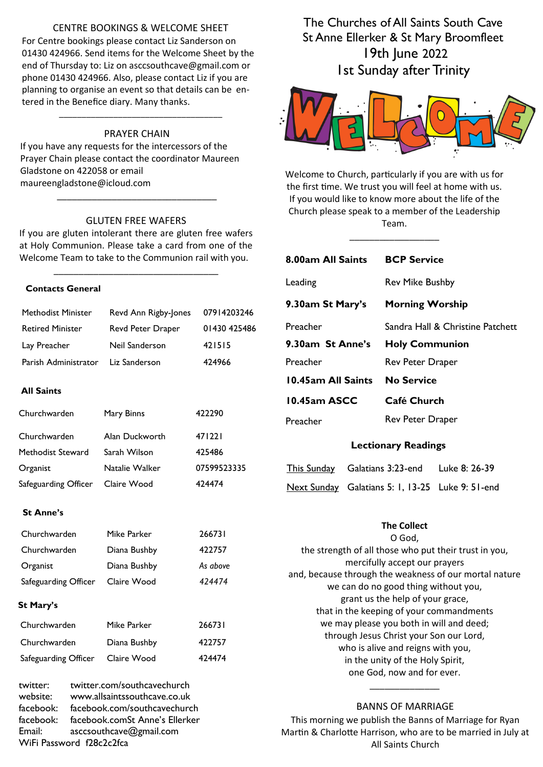### CENTRE BOOKINGS & WELCOME SHEET

For Centre bookings please contact Liz Sanderson on 01430 424966. Send items for the Welcome Sheet by the end of Thursday to: Liz on asccsouthcave@gmail.com or phone 01430 424966. Also, please contact Liz if you are planning to organise an event so that details can be entered in the Benefice diary. Many thanks.

### PRAYER CHAIN

\_\_\_\_\_\_\_\_\_\_\_\_\_\_\_\_\_\_\_\_\_\_\_\_\_\_\_\_\_\_\_\_\_\_\_\_

If you have any requests for the intercessors of the Prayer Chain please contact the coordinator Maureen Gladstone on 422058 or email maureengladstone@icloud.com

#### GLUTEN FREE WAFERS

\_\_\_\_\_\_\_\_\_\_\_\_\_\_\_\_\_\_\_\_\_\_\_\_\_\_\_\_\_\_\_\_

If you are gluten intolerant there are gluten free wafers at Holy Communion. Please take a card from one of the Welcome Team to take to the Communion rail with you.

\_\_\_\_\_\_\_\_\_\_\_\_\_\_\_\_\_\_\_\_\_\_\_\_\_\_\_\_\_\_\_\_\_

#### **Contacts General**

WiFi Password f28c2c2fca

| <b>Methodist Minister</b>                                | Revd Ann Rigby-Jones                                                                                                                                     | 07914203246  |  |
|----------------------------------------------------------|----------------------------------------------------------------------------------------------------------------------------------------------------------|--------------|--|
| <b>Retired Minister</b>                                  | Revd Peter Draper                                                                                                                                        | 01430 425486 |  |
| Lay Preacher                                             | Neil Sanderson                                                                                                                                           | 421515       |  |
| Parish Administrator                                     | Liz Sanderson                                                                                                                                            | 424966       |  |
| <b>All Saints</b>                                        |                                                                                                                                                          |              |  |
| Churchwarden                                             | Mary Binns                                                                                                                                               | 422290       |  |
| Churchwarden                                             | Alan Duckworth                                                                                                                                           | 471221       |  |
| Methodist Steward                                        | Sarah Wilson                                                                                                                                             | 425486       |  |
| Organist                                                 | Natalie Walker                                                                                                                                           | 07599523335  |  |
| Safeguarding Officer                                     | 424474<br>Claire Wood                                                                                                                                    |              |  |
| <b>St Anne's</b>                                         |                                                                                                                                                          |              |  |
| Churchwarden                                             | Mike Parker                                                                                                                                              | 266731       |  |
| Churchwarden                                             | Diana Bushby                                                                                                                                             | 422757       |  |
| Organist                                                 | Diana Bushby                                                                                                                                             | As above     |  |
| Safeguarding Officer                                     | Claire Wood                                                                                                                                              | 424474       |  |
| <b>St Mary's</b>                                         |                                                                                                                                                          |              |  |
| Churchwarden                                             | Mike Parker                                                                                                                                              | 266731       |  |
| Churchwarden                                             | Diana Bushby                                                                                                                                             | 422757       |  |
| Safeguarding Officer                                     | Claire Wood                                                                                                                                              | 424474       |  |
| twitter:<br>website:<br>facebook:<br>facebook:<br>Email: | twitter.com/southcavechurch<br>www.allsaintssouthcave.co.uk<br>facebook.com/southcavechurch<br>facebook.comSt Anne's Ellerker<br>asccsouthcave@gmail.com |              |  |

The Churches of All Saints South Cave St Anne Ellerker & St Mary Broomfleet 19th June 2022 1st Sunday after Trinity



Welcome to Church, particularly if you are with us for the first time. We trust you will feel at home with us. If you would like to know more about the life of the Church please speak to a member of the Leadership Team.

\_\_\_\_\_\_\_\_\_\_\_\_\_\_\_\_\_\_

| 8.00am All Saints          |                                                 | <b>BCP Service</b>                                                                                                                                                                                                                                                                          |                                                                                                                                                                                                         |  |
|----------------------------|-------------------------------------------------|---------------------------------------------------------------------------------------------------------------------------------------------------------------------------------------------------------------------------------------------------------------------------------------------|---------------------------------------------------------------------------------------------------------------------------------------------------------------------------------------------------------|--|
| Leading                    |                                                 | <b>Rev Mike Bushby</b>                                                                                                                                                                                                                                                                      |                                                                                                                                                                                                         |  |
| 9.30am St Mary's           |                                                 | <b>Morning Worship</b>                                                                                                                                                                                                                                                                      |                                                                                                                                                                                                         |  |
| Preacher                   | Sandra Hall & Christine Patchett                |                                                                                                                                                                                                                                                                                             |                                                                                                                                                                                                         |  |
| 9.30am St Anne's           |                                                 | <b>Holy Communion</b>                                                                                                                                                                                                                                                                       |                                                                                                                                                                                                         |  |
| Preacher                   |                                                 | Rev Peter Draper                                                                                                                                                                                                                                                                            |                                                                                                                                                                                                         |  |
| 10.45am All Saints         |                                                 | <b>No Service</b>                                                                                                                                                                                                                                                                           |                                                                                                                                                                                                         |  |
| 10.45am ASCC               |                                                 | Café Church                                                                                                                                                                                                                                                                                 |                                                                                                                                                                                                         |  |
| Preacher                   |                                                 | Rev Peter Draper                                                                                                                                                                                                                                                                            |                                                                                                                                                                                                         |  |
| <b>Lectionary Readings</b> |                                                 |                                                                                                                                                                                                                                                                                             |                                                                                                                                                                                                         |  |
|                            | This Sunday Galatians 3:23-end<br>Luke 8: 26-39 |                                                                                                                                                                                                                                                                                             |                                                                                                                                                                                                         |  |
|                            |                                                 |                                                                                                                                                                                                                                                                                             | Next Sunday Galatians 5: 1, 13-25 Luke 9: 51-end                                                                                                                                                        |  |
|                            |                                                 | <b>The Collect</b><br>O God,<br>mercifully accept our prayers<br>we can do no good thing without you,<br>grant us the help of your grace,<br>through Jesus Christ your Son our Lord,<br>who is alive and reigns with you,<br>in the unity of the Holy Spirit,<br>one God, now and for ever. | the strength of all those who put their trust in you,<br>and, because through the weakness of our mortal nature<br>that in the keeping of your commandments<br>we may please you both in will and deed; |  |

BANNS OF MARRIAGE

This morning we publish the Banns of Marriage for Ryan Martin & Charlotte Harrison, who are to be married in July at All Saints Church